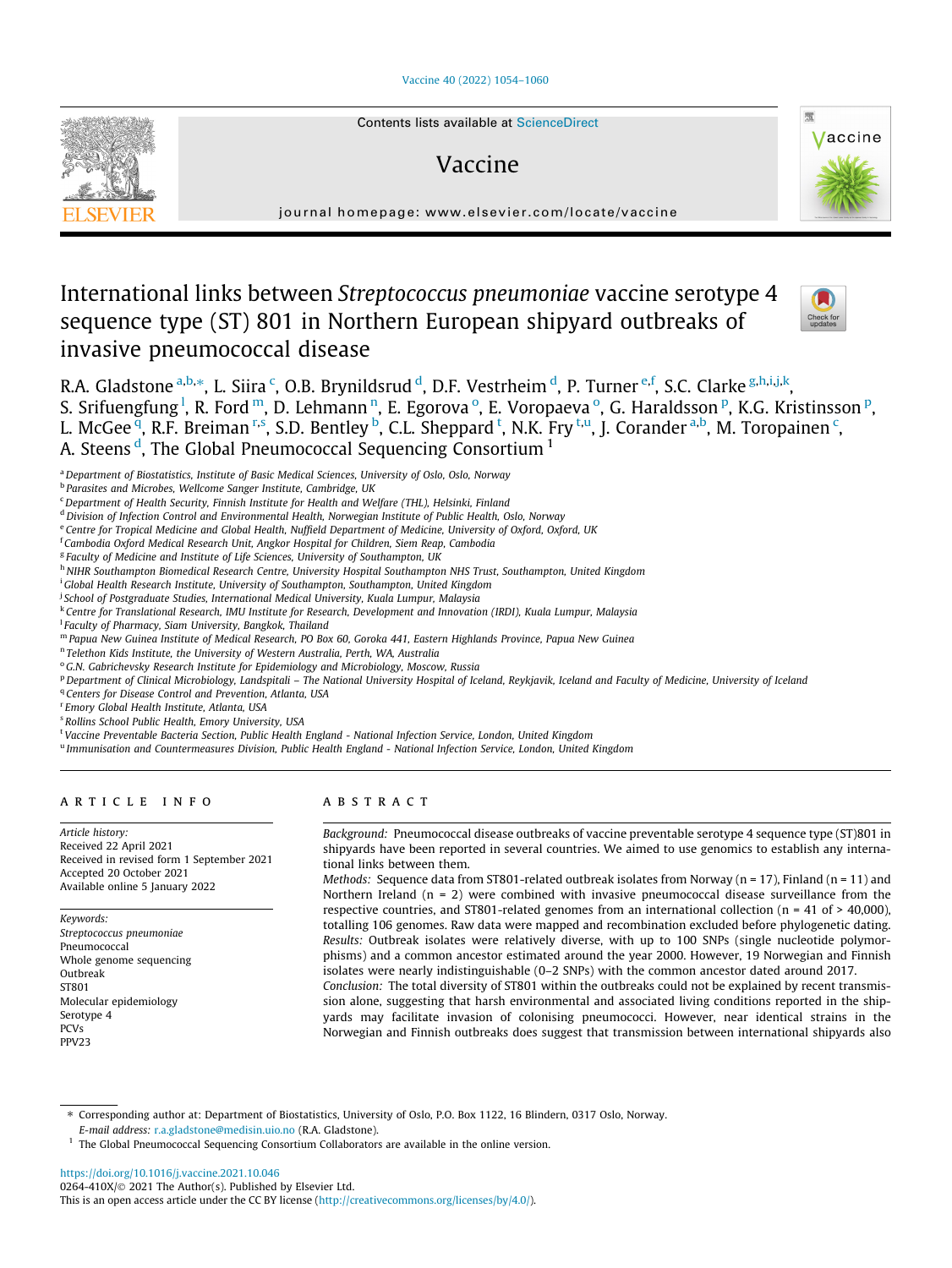## [Vaccine 40 \(2022\) 1054–1060](https://doi.org/10.1016/j.vaccine.2021.10.046)



# Vaccine



journal homepage: [www.elsevier.com/locate/vaccine](http://www.elsevier.com/locate/vaccine)

# International links between Streptococcus pneumoniae vaccine serotype 4 sequence type (ST) 801 in Northern European shipyard outbreaks of invasive pneumococcal disease



R.A. Gladstone <sup>a,b,\*</sup>, L. Siira <sup>c</sup>, O.B. Brynildsrud <sup>d</sup>, D.F. Vestrheim <sup>d</sup>, P. Turner <sup>e,f</sup>, S.C. Clarke <sup>g,h,i,j,k</sup>, S. Srifuengfung <sup>l</sup>, R. Ford m, D. Lehmann n, E. Egorova °, E. Voropaeva °, G. Haraldsson P, K.G. Kristinsson <sup>p</sup>, L. McGee <sup>q</sup>, R.F. Breiman <sup>r,s</sup>, S.D. Bentley <sup>b</sup>, C.L. Sheppard <sup>t</sup>, N.K. Fry <sup>t,u</sup>, J. Corander <sup>a,b</sup>, M. Toropainen <sup>c</sup>, A. Steens<sup>d</sup>, The Global Pneumococcal Sequencing Consortium<sup>1</sup>

<sup>a</sup> Department of Biostatistics, Institute of Basic Medical Sciences, University of Oslo, Oslo, Norway

**b Parasites and Microbes, Wellcome Sanger Institute, Cambridge, UK** 

<sup>c</sup> Department of Health Security, Finnish Institute for Health and Welfare (THL), Helsinki, Finland

<sup>d</sup> Division of Infection Control and Environmental Health, Norwegian Institute of Public Health, Oslo, Norway

e Centre for Tropical Medicine and Global Health, Nuffield Department of Medicine, University of Oxford, Oxford, UK

<sup>f</sup> Cambodia Oxford Medical Research Unit, Angkor Hospital for Children, Siem Reap, Cambodia

<sup>g</sup> Faculty of Medicine and Institute of Life Sciences, University of Southampton, UK

h NIHR Southampton Biomedical Research Centre, University Hospital Southampton NHS Trust, Southampton, United Kingdom

<sup>i</sup> Global Health Research Institute, University of Southampton, Southampton, United Kingdom

<sup>j</sup> School of Postgraduate Studies, International Medical University, Kuala Lumpur, Malaysia

<sup>k</sup> Centre for Translational Research, IMU Institute for Research, Development and Innovation (IRDI), Kuala Lumpur, Malaysia

l Faculty of Pharmacy, Siam University, Bangkok, Thailand

<sup>m</sup> Papua New Guinea Institute of Medical Research, PO Box 60, Goroka 441, Eastern Highlands Province, Papua New Guinea

<sup>n</sup> Telethon Kids Institute, the University of Western Australia, Perth, WA, Australia

<sup>o</sup> G.N. Gabrichevsky Research Institute for Epidemiology and Microbiology, Moscow, Russia

P Department of Clinical Microbiology, Landspitali – The National University Hospital of Iceland, Reykjavik, Iceland and Faculty of Medicine, University of Iceland

<sup>q</sup> Centers for Disease Control and Prevention, Atlanta, USA

r Emory Global Health Institute, Atlanta, USA

<sup>s</sup> Rollins School Public Health, Emory University, USA

<sup>t</sup> Vaccine Preventable Bacteria Section, Public Health England - National Infection Service, London, United Kingdom

<sup>u</sup> Immunisation and Countermeasures Division, Public Health England - National Infection Service, London, United Kingdom

# article info

Article history: Received 22 April 2021 Received in revised form 1 September 2021 Accepted 20 October 2021 Available online 5 January 2022

Keywords: Streptococcus pneumoniae Pneumococcal Whole genome sequencing Outbreak ST801 Molecular epidemiology Serotype 4 PCVs PPV23

# **ABSTRACT**

Background: Pneumococcal disease outbreaks of vaccine preventable serotype 4 sequence type (ST)801 in shipyards have been reported in several countries. We aimed to use genomics to establish any international links between them.

Methods: Sequence data from ST801-related outbreak isolates from Norway ( $n = 17$ ), Finland ( $n = 11$ ) and Northern Ireland  $(n = 2)$  were combined with invasive pneumococcal disease surveillance from the respective countries, and ST801-related genomes from an international collection ( $n = 41$  of  $> 40,000$ ), totalling 106 genomes. Raw data were mapped and recombination excluded before phylogenetic dating. Results: Outbreak isolates were relatively diverse, with up to 100 SNPs (single nucleotide polymorphisms) and a common ancestor estimated around the year 2000. However, 19 Norwegian and Finnish isolates were nearly indistinguishable (0–2 SNPs) with the common ancestor dated around 2017.

Conclusion: The total diversity of ST801 within the outbreaks could not be explained by recent transmission alone, suggesting that harsh environmental and associated living conditions reported in the shipyards may facilitate invasion of colonising pneumococci. However, near identical strains in the Norwegian and Finnish outbreaks does suggest that transmission between international shipyards also

⇑ Corresponding author at: Department of Biostatistics, University of Oslo, P.O. Box 1122, 16 Blindern, 0317 Oslo, Norway. E-mail address: [r.a.gladstone@medisin.uio.no](mailto:r.a.gladstone@medisin.uio.no) (R.A. Gladstone).

<https://doi.org/10.1016/j.vaccine.2021.10.046> 0264-410X/ $\odot$  2021 The Author(s). Published by Elsevier Ltd. This is an open access article under the CC BY license ([http://creativecommons.org/licenses/by/4.0/\)](http://creativecommons.org/licenses/by/4.0/).

<sup>&</sup>lt;sup>1</sup> The Global Pneumococcal Sequencing Consortium Collaborators are available in the online version.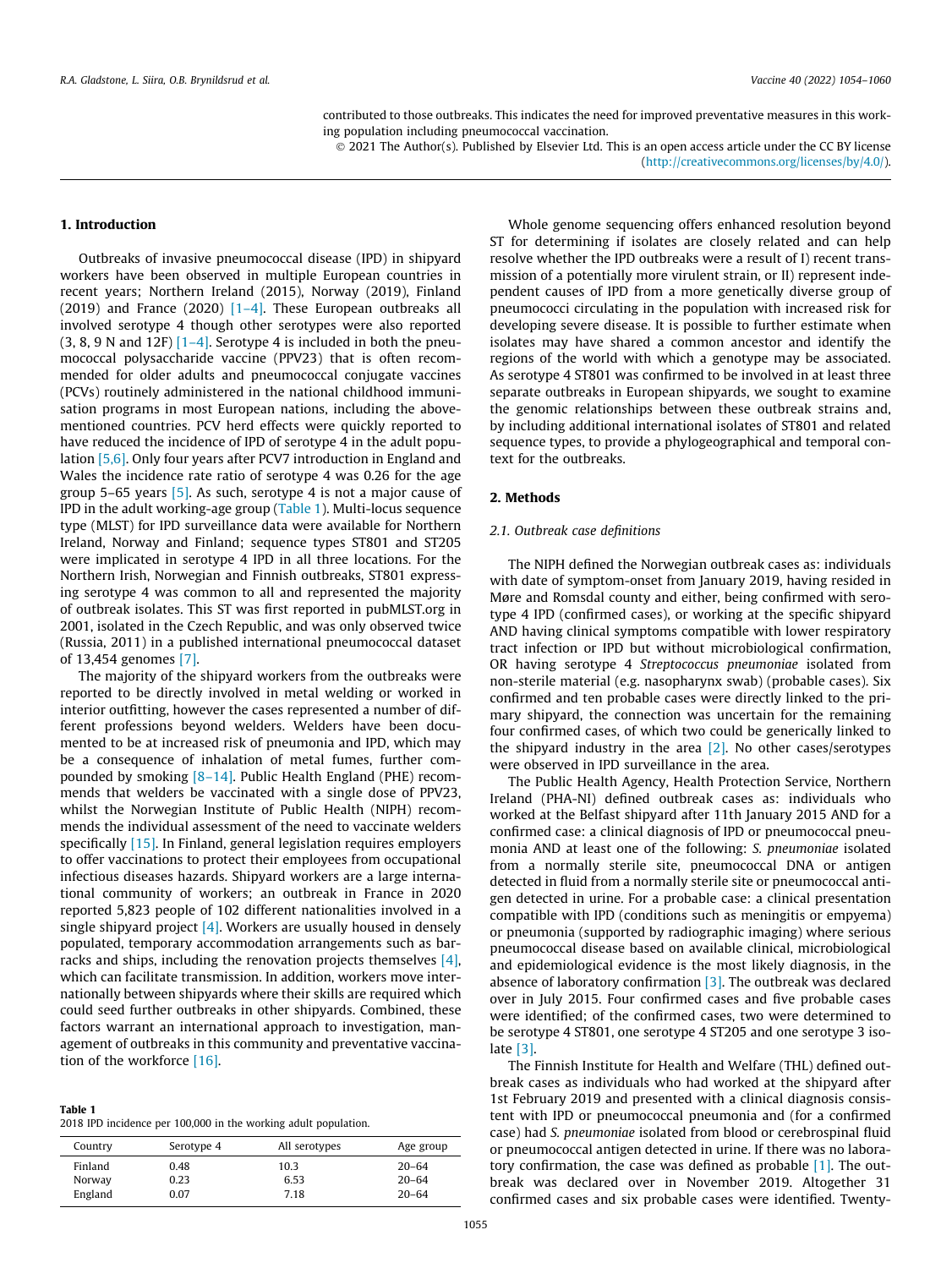contributed to those outbreaks. This indicates the need for improved preventative measures in this working population including pneumococcal vaccination.

 2021 The Author(s). Published by Elsevier Ltd. This is an open access article under the CC BY license [\(http://creativecommons.org/licenses/by/4.0/](http://creativecommons.org/licenses/by/4.0/)).

# 1. Introduction

Outbreaks of invasive pneumococcal disease (IPD) in shipyard workers have been observed in multiple European countries in recent years; Northern Ireland (2015), Norway (2019), Finland (2019) and France (2020)  $[1-4]$ . These European outbreaks all involved serotype 4 though other serotypes were also reported  $(3, 8, 9$  N and 12F)  $[1-4]$ . Serotype 4 is included in both the pneumococcal polysaccharide vaccine (PPV23) that is often recommended for older adults and pneumococcal conjugate vaccines (PCVs) routinely administered in the national childhood immunisation programs in most European nations, including the abovementioned countries. PCV herd effects were quickly reported to have reduced the incidence of IPD of serotype 4 in the adult population [\[5,6\].](#page-5-0) Only four years after PCV7 introduction in England and Wales the incidence rate ratio of serotype 4 was 0.26 for the age group 5–65 years [\[5\]](#page-5-0). As such, serotype 4 is not a major cause of IPD in the adult working-age group (Table 1). Multi-locus sequence type (MLST) for IPD surveillance data were available for Northern Ireland, Norway and Finland; sequence types ST801 and ST205 were implicated in serotype 4 IPD in all three locations. For the Northern Irish, Norwegian and Finnish outbreaks, ST801 expressing serotype 4 was common to all and represented the majority of outbreak isolates. This ST was first reported in pubMLST.org in 2001, isolated in the Czech Republic, and was only observed twice (Russia, 2011) in a published international pneumococcal dataset of 13,454 genomes [\[7\].](#page-5-0)

The majority of the shipyard workers from the outbreaks were reported to be directly involved in metal welding or worked in interior outfitting, however the cases represented a number of different professions beyond welders. Welders have been documented to be at increased risk of pneumonia and IPD, which may be a consequence of inhalation of metal fumes, further compounded by smoking  $[8-14]$ . Public Health England (PHE) recommends that welders be vaccinated with a single dose of PPV23, whilst the Norwegian Institute of Public Health (NIPH) recommends the individual assessment of the need to vaccinate welders specifically [\[15\]](#page-6-0). In Finland, general legislation requires employers to offer vaccinations to protect their employees from occupational infectious diseases hazards. Shipyard workers are a large international community of workers; an outbreak in France in 2020 reported 5,823 people of 102 different nationalities involved in a single shipyard project  $[4]$ . Workers are usually housed in densely populated, temporary accommodation arrangements such as barracks and ships, including the renovation projects themselves [\[4\],](#page-5-0) which can facilitate transmission. In addition, workers move internationally between shipyards where their skills are required which could seed further outbreaks in other shipyards. Combined, these factors warrant an international approach to investigation, management of outbreaks in this community and preventative vaccination of the workforce [\[16\].](#page-6-0)

#### Table 1

2018 IPD incidence per 100,000 in the working adult population.

| Country | Serotype 4 | All serotypes | Age group |
|---------|------------|---------------|-----------|
| Finland | 0.48       | 10.3          | $20 - 64$ |
| Norway  | 0.23       | 6.53          | $20 - 64$ |
| England | 0.07       | 7.18          | $20 - 64$ |

Whole genome sequencing offers enhanced resolution beyond ST for determining if isolates are closely related and can help resolve whether the IPD outbreaks were a result of I) recent transmission of a potentially more virulent strain, or II) represent independent causes of IPD from a more genetically diverse group of pneumococci circulating in the population with increased risk for developing severe disease. It is possible to further estimate when isolates may have shared a common ancestor and identify the regions of the world with which a genotype may be associated. As serotype 4 ST801 was confirmed to be involved in at least three separate outbreaks in European shipyards, we sought to examine the genomic relationships between these outbreak strains and, by including additional international isolates of ST801 and related sequence types, to provide a phylogeographical and temporal context for the outbreaks.

## 2. Methods

## 2.1. Outbreak case definitions

The NIPH defined the Norwegian outbreak cases as: individuals with date of symptom-onset from January 2019, having resided in Møre and Romsdal county and either, being confirmed with serotype 4 IPD (confirmed cases), or working at the specific shipyard AND having clinical symptoms compatible with lower respiratory tract infection or IPD but without microbiological confirmation, OR having serotype 4 Streptococcus pneumoniae isolated from non-sterile material (e.g. nasopharynx swab) (probable cases). Six confirmed and ten probable cases were directly linked to the primary shipyard, the connection was uncertain for the remaining four confirmed cases, of which two could be generically linked to the shipyard industry in the area  $[2]$ . No other cases/serotypes were observed in IPD surveillance in the area.

The Public Health Agency, Health Protection Service, Northern Ireland (PHA-NI) defined outbreak cases as: individuals who worked at the Belfast shipyard after 11th January 2015 AND for a confirmed case: a clinical diagnosis of IPD or pneumococcal pneumonia AND at least one of the following: S. pneumoniae isolated from a normally sterile site, pneumococcal DNA or antigen detected in fluid from a normally sterile site or pneumococcal antigen detected in urine. For a probable case: a clinical presentation compatible with IPD (conditions such as meningitis or empyema) or pneumonia (supported by radiographic imaging) where serious pneumococcal disease based on available clinical, microbiological and epidemiological evidence is the most likely diagnosis, in the absence of laboratory confirmation [\[3\].](#page-5-0) The outbreak was declared over in July 2015. Four confirmed cases and five probable cases were identified; of the confirmed cases, two were determined to be serotype 4 ST801, one serotype 4 ST205 and one serotype 3 isolate [\[3\].](#page-5-0)

The Finnish Institute for Health and Welfare (THL) defined outbreak cases as individuals who had worked at the shipyard after 1st February 2019 and presented with a clinical diagnosis consistent with IPD or pneumococcal pneumonia and (for a confirmed case) had S. pneumoniae isolated from blood or cerebrospinal fluid or pneumococcal antigen detected in urine. If there was no laboratory confirmation, the case was defined as probable  $[1]$ . The outbreak was declared over in November 2019. Altogether 31 confirmed cases and six probable cases were identified. Twenty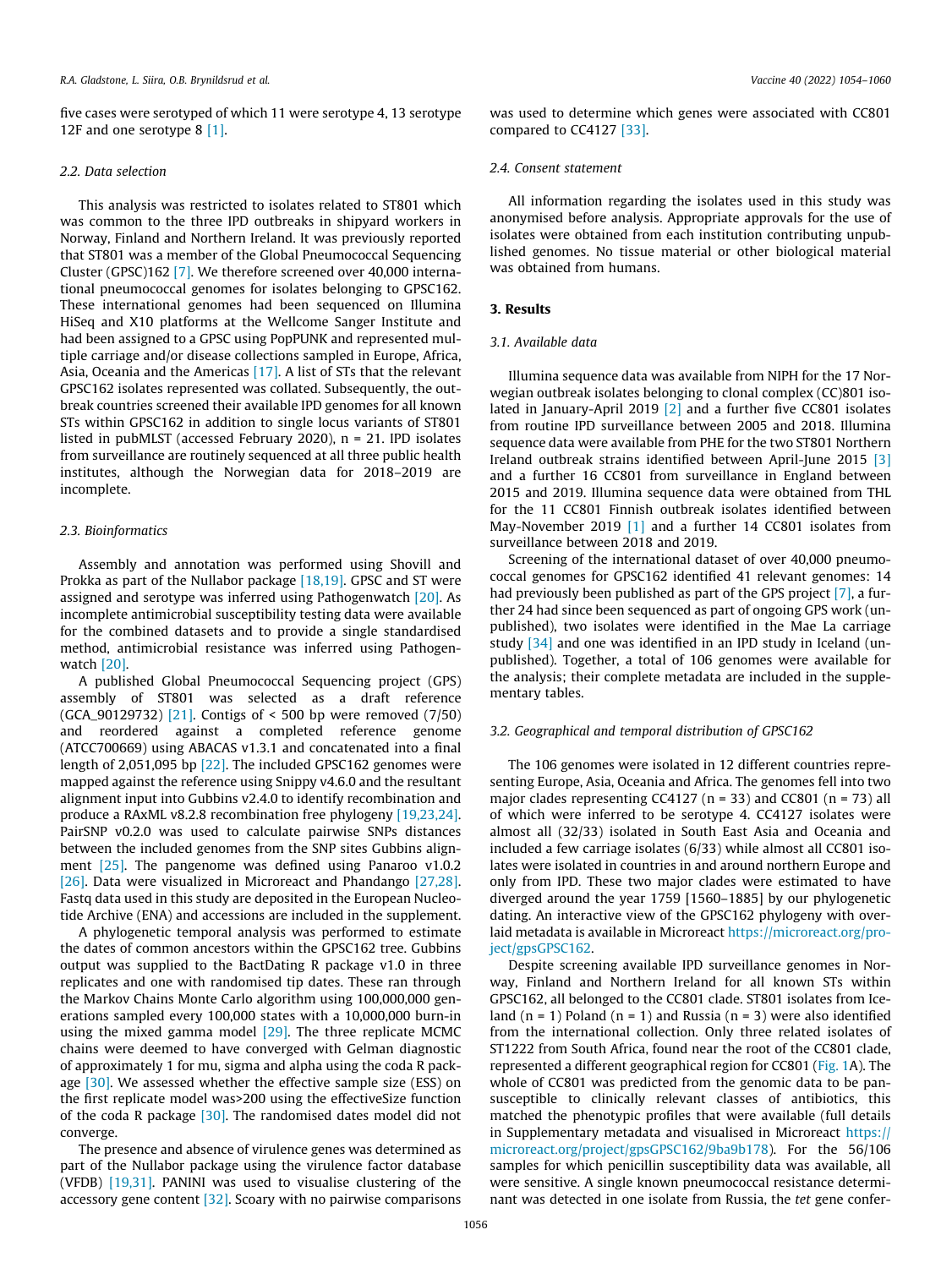five cases were serotyped of which 11 were serotype 4, 13 serotype 12F and one serotype 8 [\[1\]](#page-5-0).

# 2.2. Data selection

This analysis was restricted to isolates related to ST801 which was common to the three IPD outbreaks in shipyard workers in Norway, Finland and Northern Ireland. It was previously reported that ST801 was a member of the Global Pneumococcal Sequencing Cluster (GPSC)162 [\[7\]](#page-5-0). We therefore screened over 40,000 international pneumococcal genomes for isolates belonging to GPSC162. These international genomes had been sequenced on Illumina HiSeq and X10 platforms at the Wellcome Sanger Institute and had been assigned to a GPSC using PopPUNK and represented multiple carriage and/or disease collections sampled in Europe, Africa, Asia, Oceania and the Americas [\[17\]](#page-6-0). A list of STs that the relevant GPSC162 isolates represented was collated. Subsequently, the outbreak countries screened their available IPD genomes for all known STs within GPSC162 in addition to single locus variants of ST801 listed in pubMLST (accessed February 2020), n = 21. IPD isolates from surveillance are routinely sequenced at all three public health institutes, although the Norwegian data for 2018–2019 are incomplete.

## 2.3. Bioinformatics

Assembly and annotation was performed using Shovill and Prokka as part of the Nullabor package [\[18,19\].](#page-6-0) GPSC and ST were assigned and serotype was inferred using Pathogenwatch [\[20\].](#page-6-0) As incomplete antimicrobial susceptibility testing data were available for the combined datasets and to provide a single standardised method, antimicrobial resistance was inferred using Pathogenwatch [\[20\].](#page-6-0)

A published Global Pneumococcal Sequencing project (GPS) assembly of ST801 was selected as a draft reference (GCA\_90129732) [\[21\].](#page-6-0) Contigs of < 500 bp were removed (7/50) and reordered against a completed reference genome (ATCC700669) using ABACAS v1.3.1 and concatenated into a final length of 2,051,095 bp [\[22\]](#page-6-0). The included GPSC162 genomes were mapped against the reference using Snippy v4.6.0 and the resultant alignment input into Gubbins v2.4.0 to identify recombination and produce a RAxML v8.2.8 recombination free phylogeny [\[19,23,24\].](#page-6-0) PairSNP v0.2.0 was used to calculate pairwise SNPs distances between the included genomes from the SNP sites Gubbins align-ment [\[25\].](#page-6-0) The pangenome was defined using Panaroo v1.0.2 [\[26\]](#page-6-0). Data were visualized in Microreact and Phandango [\[27,28\].](#page-6-0) Fastq data used in this study are deposited in the European Nucleotide Archive (ENA) and accessions are included in the supplement.

A phylogenetic temporal analysis was performed to estimate the dates of common ancestors within the GPSC162 tree. Gubbins output was supplied to the BactDating R package v1.0 in three replicates and one with randomised tip dates. These ran through the Markov Chains Monte Carlo algorithm using 100,000,000 generations sampled every 100,000 states with a 10,000,000 burn-in using the mixed gamma model [\[29\].](#page-6-0) The three replicate MCMC chains were deemed to have converged with Gelman diagnostic of approximately 1 for mu, sigma and alpha using the coda R pack-age [\[30\].](#page-6-0) We assessed whether the effective sample size (ESS) on the first replicate model was>200 using the effectiveSize function of the coda R package  $[30]$ . The randomised dates model did not converge.

The presence and absence of virulence genes was determined as part of the Nullabor package using the virulence factor database (VFDB) [\[19,31\]](#page-6-0). PANINI was used to visualise clustering of the accessory gene content [\[32\].](#page-6-0) Scoary with no pairwise comparisons

was used to determine which genes were associated with CC801 compared to CC4127 [\[33\]](#page-6-0).

## 2.4. Consent statement

All information regarding the isolates used in this study was anonymised before analysis. Appropriate approvals for the use of isolates were obtained from each institution contributing unpublished genomes. No tissue material or other biological material was obtained from humans.

# 3. Results

#### 3.1. Available data

Illumina sequence data was available from NIPH for the 17 Norwegian outbreak isolates belonging to clonal complex (CC)801 isolated in January-April 2019 [\[2\]](#page-5-0) and a further five CC801 isolates from routine IPD surveillance between 2005 and 2018. Illumina sequence data were available from PHE for the two ST801 Northern Ireland outbreak strains identified between April-June 2015 [\[3\]](#page-5-0) and a further 16 CC801 from surveillance in England between 2015 and 2019. Illumina sequence data were obtained from THL for the 11 CC801 Finnish outbreak isolates identified between May-November 2019 [\[1\]](#page-5-0) and a further 14 CC801 isolates from surveillance between 2018 and 2019.

Screening of the international dataset of over 40,000 pneumococcal genomes for GPSC162 identified 41 relevant genomes: 14 had previously been published as part of the GPS project [\[7\],](#page-5-0) a further 24 had since been sequenced as part of ongoing GPS work (unpublished), two isolates were identified in the Mae La carriage study [\[34\]](#page-6-0) and one was identified in an IPD study in Iceland (unpublished). Together, a total of 106 genomes were available for the analysis; their complete metadata are included in the supplementary tables.

# 3.2. Geographical and temporal distribution of GPSC162

The 106 genomes were isolated in 12 different countries representing Europe, Asia, Oceania and Africa. The genomes fell into two major clades representing CC4127 ( $n = 33$ ) and CC801 ( $n = 73$ ) all of which were inferred to be serotype 4. CC4127 isolates were almost all (32/33) isolated in South East Asia and Oceania and included a few carriage isolates (6/33) while almost all CC801 isolates were isolated in countries in and around northern Europe and only from IPD. These two major clades were estimated to have diverged around the year 1759 [1560–1885] by our phylogenetic dating. An interactive view of the GPSC162 phylogeny with overlaid metadata is available in Microreact [https://microreact.org/pro](https://microreact.org/project/gpsGPSC162)[ject/gpsGPSC162.](https://microreact.org/project/gpsGPSC162)

Despite screening available IPD surveillance genomes in Norway, Finland and Northern Ireland for all known STs within GPSC162, all belonged to the CC801 clade. ST801 isolates from Iceland  $(n = 1)$  Poland  $(n = 1)$  and Russia  $(n = 3)$  were also identified from the international collection. Only three related isolates of ST1222 from South Africa, found near the root of the CC801 clade, represented a different geographical region for CC801 ([Fig. 1A](#page-3-0)). The whole of CC801 was predicted from the genomic data to be pansusceptible to clinically relevant classes of antibiotics, this matched the phenotypic profiles that were available (full details in Supplementary metadata and visualised in Microreact [https://](https://microreact.org/project/gpsGPSC162/9ba9b178) [microreact.org/project/gpsGPSC162/9ba9b178](https://microreact.org/project/gpsGPSC162/9ba9b178)). For the 56/106 samples for which penicillin susceptibility data was available, all were sensitive. A single known pneumococcal resistance determinant was detected in one isolate from Russia, the tet gene confer-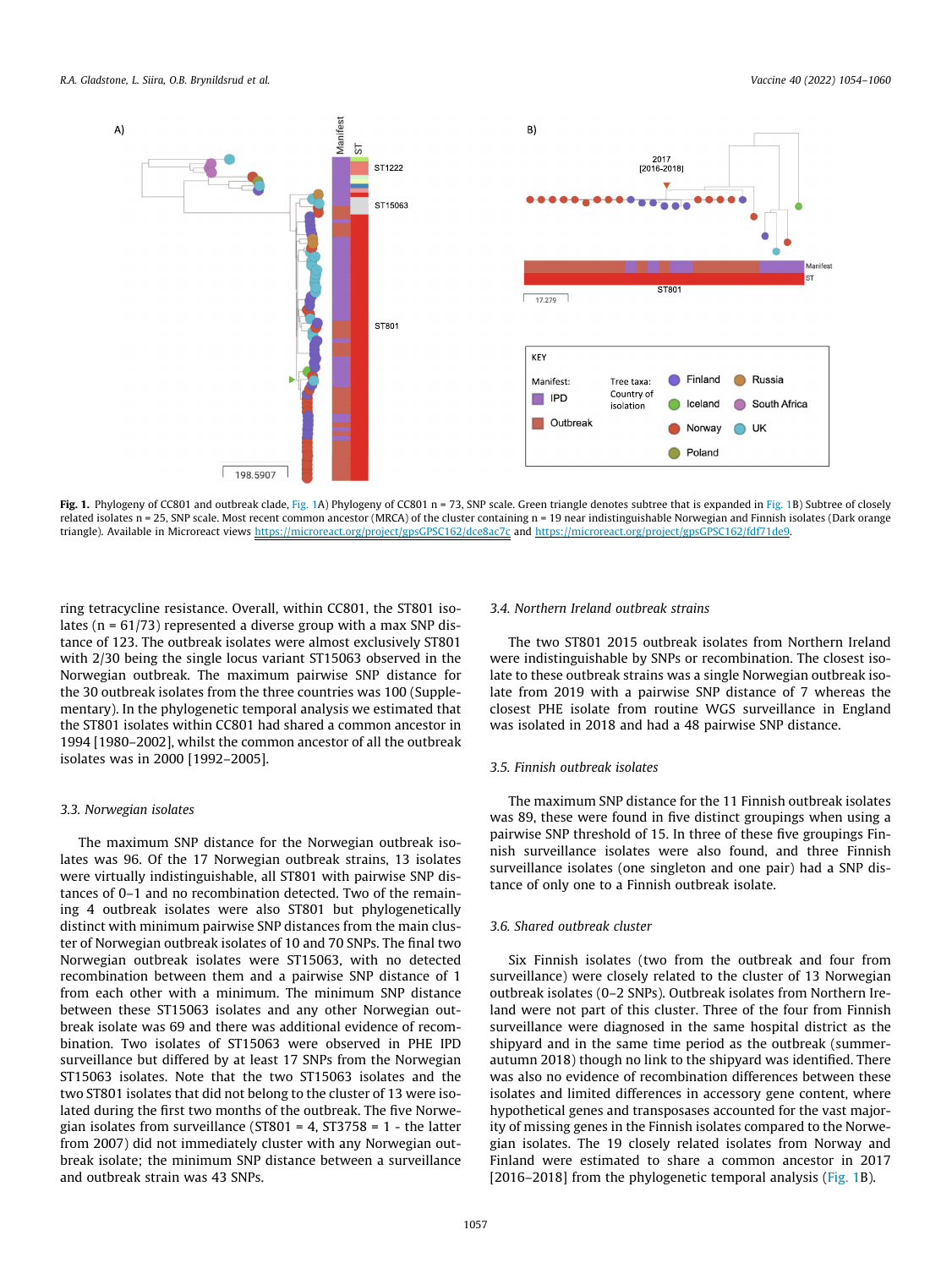<span id="page-3-0"></span>

Fig. 1. Phylogeny of CC801 and outbreak clade, Fig. 1A) Phylogeny of CC801 n = 73, SNP scale. Green triangle denotes subtree that is expanded in Fig. 1B) Subtree of closely related isolates n = 25, SNP scale. Most recent common ancestor (MRCA) of the cluster containing n = 19 near indistinguishable Norwegian and Finnish isolates (Dark orange triangle). Available in Microreact views <https://microreact.org/project/gpsGPSC162/dce8ac7c> and <https://microreact.org/project/gpsGPSC162/fdf71de9>.

ring tetracycline resistance. Overall, within CC801, the ST801 isolates ( $n = 61/73$ ) represented a diverse group with a max SNP distance of 123. The outbreak isolates were almost exclusively ST801 with 2/30 being the single locus variant ST15063 observed in the Norwegian outbreak. The maximum pairwise SNP distance for the 30 outbreak isolates from the three countries was 100 (Supplementary). In the phylogenetic temporal analysis we estimated that the ST801 isolates within CC801 had shared a common ancestor in 1994 [1980–2002], whilst the common ancestor of all the outbreak isolates was in 2000 [1992–2005].

## 3.3. Norwegian isolates

The maximum SNP distance for the Norwegian outbreak isolates was 96. Of the 17 Norwegian outbreak strains, 13 isolates were virtually indistinguishable, all ST801 with pairwise SNP distances of 0–1 and no recombination detected. Two of the remaining 4 outbreak isolates were also ST801 but phylogenetically distinct with minimum pairwise SNP distances from the main cluster of Norwegian outbreak isolates of 10 and 70 SNPs. The final two Norwegian outbreak isolates were ST15063, with no detected recombination between them and a pairwise SNP distance of 1 from each other with a minimum. The minimum SNP distance between these ST15063 isolates and any other Norwegian outbreak isolate was 69 and there was additional evidence of recombination. Two isolates of ST15063 were observed in PHE IPD surveillance but differed by at least 17 SNPs from the Norwegian ST15063 isolates. Note that the two ST15063 isolates and the two ST801 isolates that did not belong to the cluster of 13 were isolated during the first two months of the outbreak. The five Norwegian isolates from surveillance ( $ST801 = 4$ ,  $ST3758 = 1$  - the latter from 2007) did not immediately cluster with any Norwegian outbreak isolate; the minimum SNP distance between a surveillance and outbreak strain was 43 SNPs.

## 3.4. Northern Ireland outbreak strains

The two ST801 2015 outbreak isolates from Northern Ireland were indistinguishable by SNPs or recombination. The closest isolate to these outbreak strains was a single Norwegian outbreak isolate from 2019 with a pairwise SNP distance of 7 whereas the closest PHE isolate from routine WGS surveillance in England was isolated in 2018 and had a 48 pairwise SNP distance.

# 3.5. Finnish outbreak isolates

The maximum SNP distance for the 11 Finnish outbreak isolates was 89, these were found in five distinct groupings when using a pairwise SNP threshold of 15. In three of these five groupings Finnish surveillance isolates were also found, and three Finnish surveillance isolates (one singleton and one pair) had a SNP distance of only one to a Finnish outbreak isolate.

# 3.6. Shared outbreak cluster

Six Finnish isolates (two from the outbreak and four from surveillance) were closely related to the cluster of 13 Norwegian outbreak isolates (0–2 SNPs). Outbreak isolates from Northern Ireland were not part of this cluster. Three of the four from Finnish surveillance were diagnosed in the same hospital district as the shipyard and in the same time period as the outbreak (summerautumn 2018) though no link to the shipyard was identified. There was also no evidence of recombination differences between these isolates and limited differences in accessory gene content, where hypothetical genes and transposases accounted for the vast majority of missing genes in the Finnish isolates compared to the Norwegian isolates. The 19 closely related isolates from Norway and Finland were estimated to share a common ancestor in 2017 [2016–2018] from the phylogenetic temporal analysis (Fig. 1B).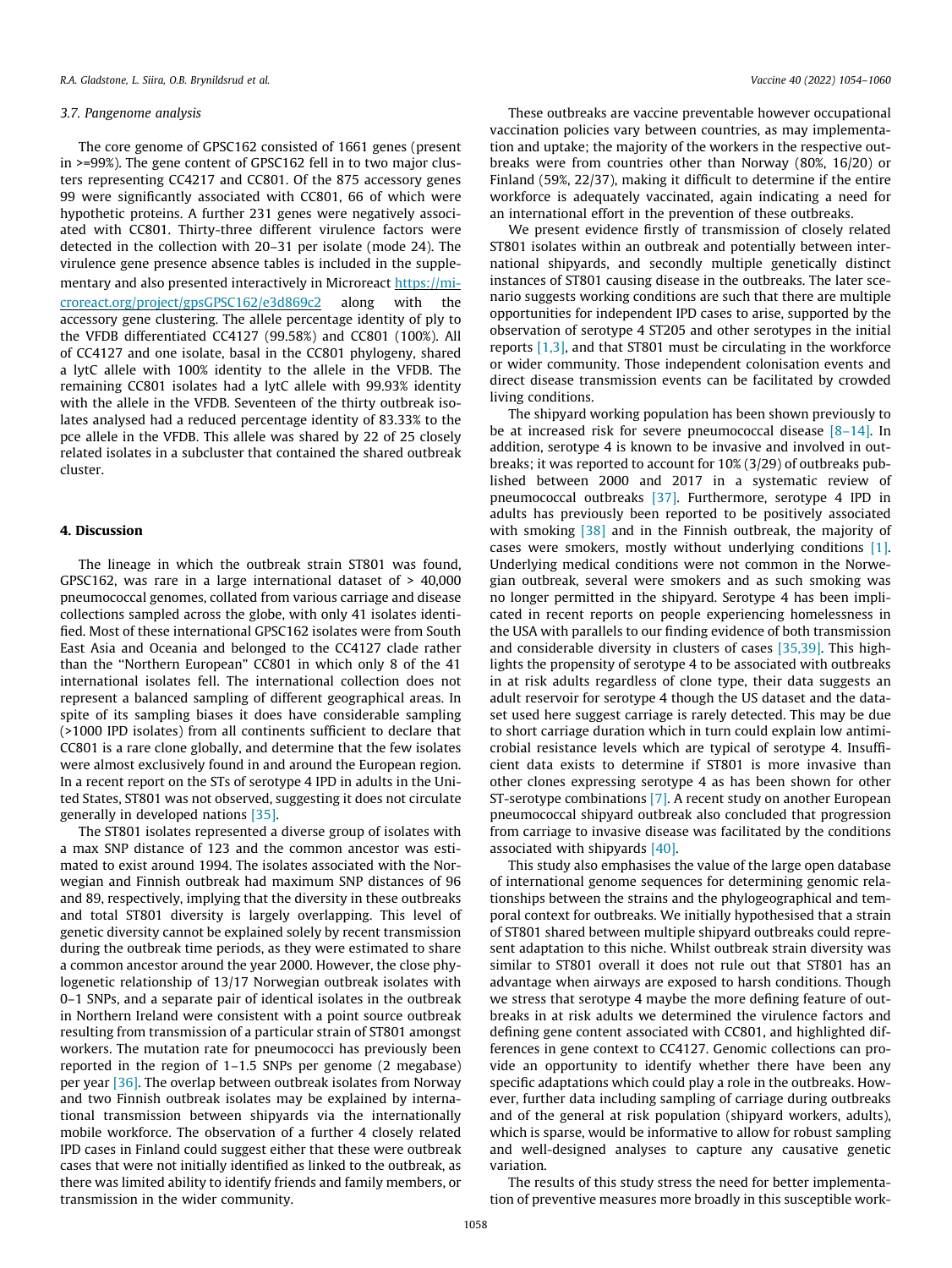#### 3.7. Pangenome analysis

The core genome of GPSC162 consisted of 1661 genes (present in >=99%). The gene content of GPSC162 fell in to two major clusters representing CC4217 and CC801. Of the 875 accessory genes 99 were significantly associated with CC801, 66 of which were hypothetic proteins. A further 231 genes were negatively associated with CC801. Thirty-three different virulence factors were detected in the collection with 20–31 per isolate (mode 24). The virulence gene presence absence tables is included in the supplementary and also presented interactively in Microreact [https://mi](https://microreact.org/project/gpsGPSC162/e3d869c2)[croreact.org/project/gpsGPSC162/e3d869c2](https://microreact.org/project/gpsGPSC162/e3d869c2) along with the accessory gene clustering. The allele percentage identity of ply to the VFDB differentiated CC4127 (99.58%) and CC801 (100%). All of CC4127 and one isolate, basal in the CC801 phylogeny, shared a lytC allele with 100% identity to the allele in the VFDB. The remaining CC801 isolates had a lytC allele with 99.93% identity with the allele in the VFDB. Seventeen of the thirty outbreak isolates analysed had a reduced percentage identity of 83.33% to the pce allele in the VFDB. This allele was shared by 22 of 25 closely related isolates in a subcluster that contained the shared outbreak cluster.

# 4. Discussion

The lineage in which the outbreak strain ST801 was found, GPSC162, was rare in a large international dataset of > 40,000 pneumococcal genomes, collated from various carriage and disease collections sampled across the globe, with only 41 isolates identified. Most of these international GPSC162 isolates were from South East Asia and Oceania and belonged to the CC4127 clade rather than the ''Northern European" CC801 in which only 8 of the 41 international isolates fell. The international collection does not represent a balanced sampling of different geographical areas. In spite of its sampling biases it does have considerable sampling (>1000 IPD isolates) from all continents sufficient to declare that CC801 is a rare clone globally, and determine that the few isolates were almost exclusively found in and around the European region. In a recent report on the STs of serotype 4 IPD in adults in the United States, ST801 was not observed, suggesting it does not circulate generally in developed nations [\[35\].](#page-6-0)

The ST801 isolates represented a diverse group of isolates with a max SNP distance of 123 and the common ancestor was estimated to exist around 1994. The isolates associated with the Norwegian and Finnish outbreak had maximum SNP distances of 96 and 89, respectively, implying that the diversity in these outbreaks and total ST801 diversity is largely overlapping. This level of genetic diversity cannot be explained solely by recent transmission during the outbreak time periods, as they were estimated to share a common ancestor around the year 2000. However, the close phylogenetic relationship of 13/17 Norwegian outbreak isolates with 0–1 SNPs, and a separate pair of identical isolates in the outbreak in Northern Ireland were consistent with a point source outbreak resulting from transmission of a particular strain of ST801 amongst workers. The mutation rate for pneumococci has previously been reported in the region of 1–1.5 SNPs per genome (2 megabase) per year [\[36\]](#page-6-0). The overlap between outbreak isolates from Norway and two Finnish outbreak isolates may be explained by international transmission between shipyards via the internationally mobile workforce. The observation of a further 4 closely related IPD cases in Finland could suggest either that these were outbreak cases that were not initially identified as linked to the outbreak, as there was limited ability to identify friends and family members, or transmission in the wider community.

These outbreaks are vaccine preventable however occupational vaccination policies vary between countries, as may implementation and uptake; the majority of the workers in the respective outbreaks were from countries other than Norway (80%, 16/20) or Finland (59%, 22/37), making it difficult to determine if the entire workforce is adequately vaccinated, again indicating a need for an international effort in the prevention of these outbreaks.

We present evidence firstly of transmission of closely related ST801 isolates within an outbreak and potentially between international shipyards, and secondly multiple genetically distinct instances of ST801 causing disease in the outbreaks. The later scenario suggests working conditions are such that there are multiple opportunities for independent IPD cases to arise, supported by the observation of serotype 4 ST205 and other serotypes in the initial reports [\[1,3\],](#page-5-0) and that ST801 must be circulating in the workforce or wider community. Those independent colonisation events and direct disease transmission events can be facilitated by crowded living conditions.

The shipyard working population has been shown previously to be at increased risk for severe pneumococcal disease [\[8–14\]](#page-5-0). In addition, serotype 4 is known to be invasive and involved in outbreaks; it was reported to account for 10% (3/29) of outbreaks published between 2000 and 2017 in a systematic review of pneumococcal outbreaks [\[37\].](#page-6-0) Furthermore, serotype 4 IPD in adults has previously been reported to be positively associated with smoking [\[38\]](#page-6-0) and in the Finnish outbreak, the majority of cases were smokers, mostly without underlying conditions [\[1\].](#page-5-0) Underlying medical conditions were not common in the Norwegian outbreak, several were smokers and as such smoking was no longer permitted in the shipyard. Serotype 4 has been implicated in recent reports on people experiencing homelessness in the USA with parallels to our finding evidence of both transmission and considerable diversity in clusters of cases [\[35,39\].](#page-6-0) This highlights the propensity of serotype 4 to be associated with outbreaks in at risk adults regardless of clone type, their data suggests an adult reservoir for serotype 4 though the US dataset and the dataset used here suggest carriage is rarely detected. This may be due to short carriage duration which in turn could explain low antimicrobial resistance levels which are typical of serotype 4. Insufficient data exists to determine if ST801 is more invasive than other clones expressing serotype 4 as has been shown for other ST-serotype combinations [\[7\].](#page-5-0) A recent study on another European pneumococcal shipyard outbreak also concluded that progression from carriage to invasive disease was facilitated by the conditions associated with shipyards [\[40\].](#page-6-0)

This study also emphasises the value of the large open database of international genome sequences for determining genomic relationships between the strains and the phylogeographical and temporal context for outbreaks. We initially hypothesised that a strain of ST801 shared between multiple shipyard outbreaks could represent adaptation to this niche. Whilst outbreak strain diversity was similar to ST801 overall it does not rule out that ST801 has an advantage when airways are exposed to harsh conditions. Though we stress that serotype 4 maybe the more defining feature of outbreaks in at risk adults we determined the virulence factors and defining gene content associated with CC801, and highlighted differences in gene context to CC4127. Genomic collections can provide an opportunity to identify whether there have been any specific adaptations which could play a role in the outbreaks. However, further data including sampling of carriage during outbreaks and of the general at risk population (shipyard workers, adults), which is sparse, would be informative to allow for robust sampling and well-designed analyses to capture any causative genetic variation.

The results of this study stress the need for better implementation of preventive measures more broadly in this susceptible work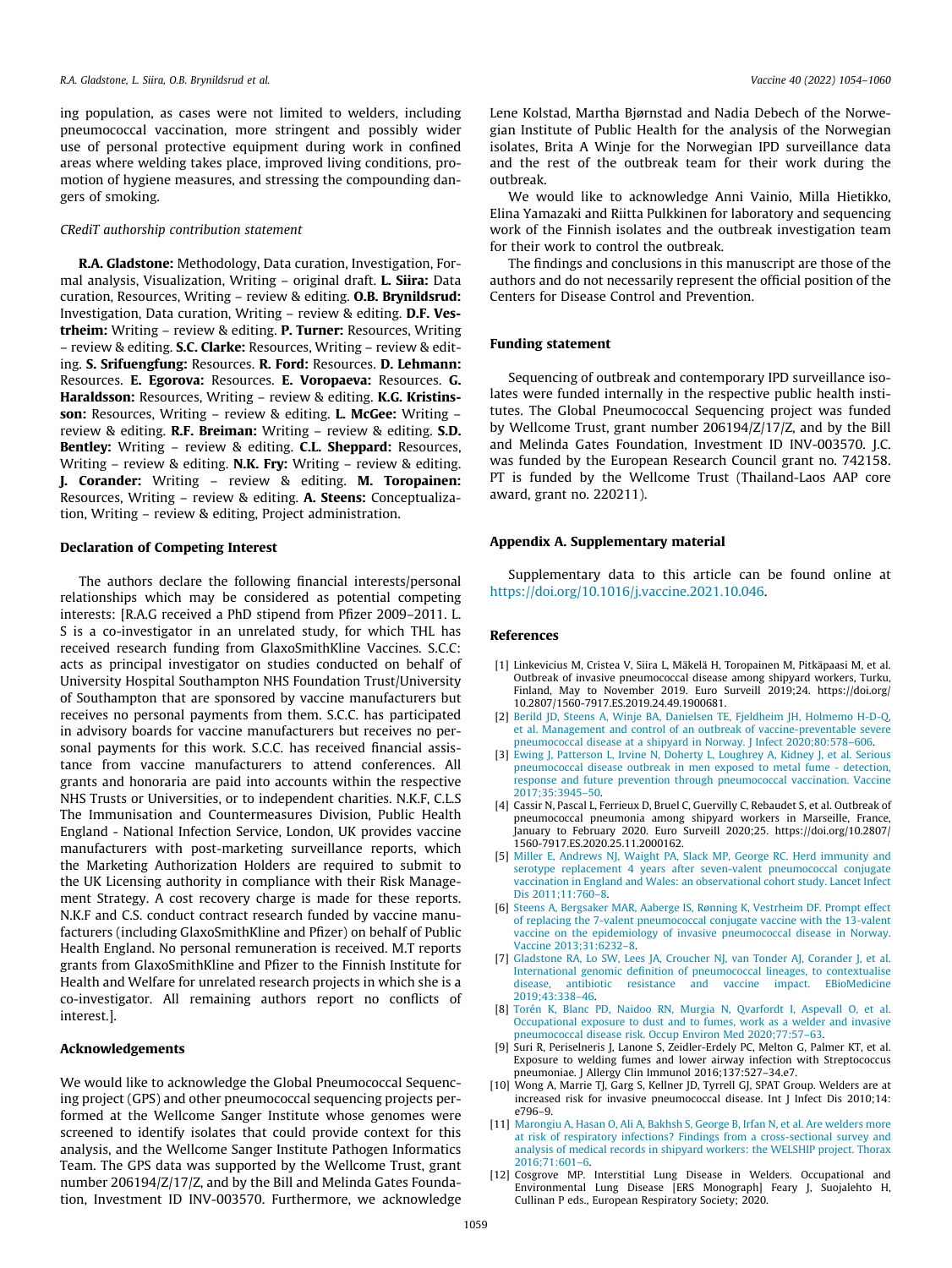<span id="page-5-0"></span>ing population, as cases were not limited to welders, including pneumococcal vaccination, more stringent and possibly wider use of personal protective equipment during work in confined areas where welding takes place, improved living conditions, promotion of hygiene measures, and stressing the compounding dangers of smoking.

## CRediT authorship contribution statement

R.A. Gladstone: Methodology, Data curation, Investigation, Formal analysis, Visualization, Writing – original draft. L. Siira: Data curation, Resources, Writing – review & editing. O.B. Brynildsrud: Investigation, Data curation, Writing – review & editing. D.F. Vestrheim: Writing - review & editing. P. Turner: Resources, Writing – review & editing. S.C. Clarke: Resources, Writing – review & editing. S. Srifuengfung: Resources. R. Ford: Resources. D. Lehmann: Resources. E. Egorova: Resources. E. Voropaeva: Resources. G. Haraldsson: Resources, Writing - review & editing. K.G. Kristinsson: Resources, Writing - review & editing. L. McGee: Writing review & editing. R.F. Breiman: Writing – review & editing. S.D. Bentley: Writing – review & editing. C.L. Sheppard: Resources, Writing – review & editing. N.K. Fry: Writing – review & editing. J. Corander: Writing – review & editing. M. Toropainen: Resources, Writing – review & editing. A. Steens: Conceptualization, Writing – review & editing, Project administration.

## Declaration of Competing Interest

The authors declare the following financial interests/personal relationships which may be considered as potential competing interests: [R.A.G received a PhD stipend from Pfizer 2009–2011. L. S is a co-investigator in an unrelated study, for which THL has received research funding from GlaxoSmithKline Vaccines. S.C.C: acts as principal investigator on studies conducted on behalf of University Hospital Southampton NHS Foundation Trust/University of Southampton that are sponsored by vaccine manufacturers but receives no personal payments from them. S.C.C. has participated in advisory boards for vaccine manufacturers but receives no personal payments for this work. S.C.C. has received financial assistance from vaccine manufacturers to attend conferences. All grants and honoraria are paid into accounts within the respective NHS Trusts or Universities, or to independent charities. N.K.F, C.L.S The Immunisation and Countermeasures Division, Public Health England - National Infection Service, London, UK provides vaccine manufacturers with post-marketing surveillance reports, which the Marketing Authorization Holders are required to submit to the UK Licensing authority in compliance with their Risk Management Strategy. A cost recovery charge is made for these reports. N.K.F and C.S. conduct contract research funded by vaccine manufacturers (including GlaxoSmithKline and Pfizer) on behalf of Public Health England. No personal remuneration is received. M.T reports grants from GlaxoSmithKline and Pfizer to the Finnish Institute for Health and Welfare for unrelated research projects in which she is a co-investigator. All remaining authors report no conflicts of interest.].

## Acknowledgements

We would like to acknowledge the Global Pneumococcal Sequencing project (GPS) and other pneumococcal sequencing projects performed at the Wellcome Sanger Institute whose genomes were screened to identify isolates that could provide context for this analysis, and the Wellcome Sanger Institute Pathogen Informatics Team. The GPS data was supported by the Wellcome Trust, grant number 206194/Z/17/Z, and by the Bill and Melinda Gates Foundation, Investment ID INV-003570. Furthermore, we acknowledge

Lene Kolstad, Martha Bjørnstad and Nadia Debech of the Norwegian Institute of Public Health for the analysis of the Norwegian isolates, Brita A Winje for the Norwegian IPD surveillance data and the rest of the outbreak team for their work during the outbreak.

We would like to acknowledge Anni Vainio, Milla Hietikko, Elina Yamazaki and Riitta Pulkkinen for laboratory and sequencing work of the Finnish isolates and the outbreak investigation team for their work to control the outbreak.

The findings and conclusions in this manuscript are those of the authors and do not necessarily represent the official position of the Centers for Disease Control and Prevention.

### Funding statement

Sequencing of outbreak and contemporary IPD surveillance isolates were funded internally in the respective public health institutes. The Global Pneumococcal Sequencing project was funded by Wellcome Trust, grant number 206194/Z/17/Z, and by the Bill and Melinda Gates Foundation, Investment ID INV-003570. J.C. was funded by the European Research Council grant no. 742158. PT is funded by the Wellcome Trust (Thailand-Laos AAP core award, grant no. 220211).

# Appendix A. Supplementary material

Supplementary data to this article can be found online at <https://doi.org/10.1016/j.vaccine.2021.10.046>.

#### References

- [1] Linkevicius M, Cristea V, Siira L, Mäkelä H, Toropainen M, Pitkäpaasi M, et al. Outbreak of invasive pneumococcal disease among shipyard workers, Turku, Finland, May to November 2019. Euro Surveill 2019;24. https://doi.org/ 10.2807/1560-7917.ES.2019.24.49.1900681.
- [2] [Berild JD, Steens A, Winje BA, Danielsen TE, Fjeldheim JH, Holmemo H-D-Q,](http://refhub.elsevier.com/S0264-410X(21)01377-3/h0010) [et al. Management and control of an outbreak of vaccine-preventable severe](http://refhub.elsevier.com/S0264-410X(21)01377-3/h0010) [pneumococcal disease at a shipyard in Norway. J Infect 2020;80:578–606](http://refhub.elsevier.com/S0264-410X(21)01377-3/h0010).
- [3] [Ewing J, Patterson L, Irvine N, Doherty L, Loughrey A, Kidney J, et al. Serious](http://refhub.elsevier.com/S0264-410X(21)01377-3/h0015) [pneumococcal disease outbreak in men exposed to metal fume - detection,](http://refhub.elsevier.com/S0264-410X(21)01377-3/h0015) [response and future prevention through pneumococcal vaccination. Vaccine](http://refhub.elsevier.com/S0264-410X(21)01377-3/h0015) [2017;35:3945–50.](http://refhub.elsevier.com/S0264-410X(21)01377-3/h0015)
- [4] Cassir N, Pascal L, Ferrieux D, Bruel C, Guervilly C, Rebaudet S, et al. Outbreak of pneumococcal pneumonia among shipyard workers in Marseille, France, January to February 2020. Euro Surveill 2020;25. https://doi.org/10.2807/ 1560-7917.ES.2020.25.11.2000162.
- [5] [Miller E, Andrews NJ, Waight PA, Slack MP, George RC. Herd immunity and](http://refhub.elsevier.com/S0264-410X(21)01377-3/h0025) [serotype replacement 4 years after seven-valent pneumococcal conjugate](http://refhub.elsevier.com/S0264-410X(21)01377-3/h0025) [vaccination in England and Wales: an observational cohort study. Lancet Infect](http://refhub.elsevier.com/S0264-410X(21)01377-3/h0025) [Dis 2011;11:760–8.](http://refhub.elsevier.com/S0264-410X(21)01377-3/h0025)
- [6] [Steens A, Bergsaker MAR, Aaberge IS, Rønning K, Vestrheim DF. Prompt effect](http://refhub.elsevier.com/S0264-410X(21)01377-3/h0030) [of replacing the 7-valent pneumococcal conjugate vaccine with the 13-valent](http://refhub.elsevier.com/S0264-410X(21)01377-3/h0030) [vaccine on the epidemiology of invasive pneumococcal disease in Norway.](http://refhub.elsevier.com/S0264-410X(21)01377-3/h0030) [Vaccine 2013;31:6232–8](http://refhub.elsevier.com/S0264-410X(21)01377-3/h0030).
- [7] [Gladstone RA, Lo SW, Lees JA, Croucher NJ, van Tonder AJ, Corander J, et al.](http://refhub.elsevier.com/S0264-410X(21)01377-3/h0035) [International genomic definition of pneumococcal lineages, to contextualise](http://refhub.elsevier.com/S0264-410X(21)01377-3/h0035) [disease, antibiotic resistance and vaccine impact. EBioMedicine](http://refhub.elsevier.com/S0264-410X(21)01377-3/h0035) [2019;43:338–46.](http://refhub.elsevier.com/S0264-410X(21)01377-3/h0035)
- [8] [Torén K, Blanc PD, Naidoo RN, Murgia N, Qvarfordt I, Aspevall O, et al.](http://refhub.elsevier.com/S0264-410X(21)01377-3/h0040) [Occupational exposure to dust and to fumes, work as a welder and invasive](http://refhub.elsevier.com/S0264-410X(21)01377-3/h0040) [pneumococcal disease risk. Occup Environ Med 2020;77:57–63.](http://refhub.elsevier.com/S0264-410X(21)01377-3/h0040)
- [9] Suri R, Periselneris J, Lanone S, Zeidler-Erdely PC, Melton G, Palmer KT, et al. Exposure to welding fumes and lower airway infection with Streptococcus pneumoniae. J Allergy Clin Immunol 2016;137:527–34.e7.
- [10] Wong A, Marrie TJ, Garg S, Kellner JD, Tyrrell GJ, SPAT Group. Welders are at increased risk for invasive pneumococcal disease. Int J Infect Dis 2010;14: e796–9.
- [11] [Marongiu A, Hasan O, Ali A, Bakhsh S, George B, Irfan N, et al. Are welders more](http://refhub.elsevier.com/S0264-410X(21)01377-3/h0055) [at risk of respiratory infections? Findings from a cross-sectional survey and](http://refhub.elsevier.com/S0264-410X(21)01377-3/h0055) [analysis of medical records in shipyard workers: the WELSHIP project. Thorax](http://refhub.elsevier.com/S0264-410X(21)01377-3/h0055) [2016;71:601–6.](http://refhub.elsevier.com/S0264-410X(21)01377-3/h0055)
- [12] Cosgrove MP. Interstitial Lung Disease in Welders. Occupational and Environmental Lung Disease [ERS Monograph] Feary J, Suojalehto H, Cullinan P eds., European Respiratory Society; 2020.